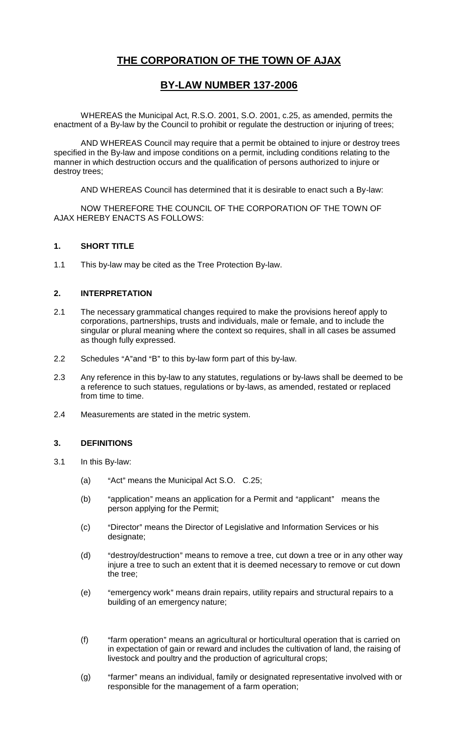# **THE CORPORATION OF THE TOWN OF AJAX**

# **BY-LAW NUMBER 137-2006**

WHEREAS the Municipal Act, R.S.O. 2001, S.O. 2001, c.25, as amended, permits the enactment of a By-law by the Council to prohibit or regulate the destruction or injuring of trees;

AND WHEREAS Council may require that a permit be obtained to injure or destroy trees specified in the By-law and impose conditions on a permit, including conditions relating to the manner in which destruction occurs and the qualification of persons authorized to injure or destroy trees;

AND WHEREAS Council has determined that it is desirable to enact such a By-law:

NOW THEREFORE THE COUNCIL OF THE CORPORATION OF THE TOWN OF AJAX HEREBY ENACTS AS FOLLOWS:

# **1. SHORT TITLE**

1.1 This by-law may be cited as the Tree Protection By-law.

# **2. INTERPRETATION**

- 2.1 The necessary grammatical changes required to make the provisions hereof apply to corporations, partnerships, trusts and individuals, male or female, and to include the singular or plural meaning where the context so requires, shall in all cases be assumed as though fully expressed.
- 2.2 Schedules "A"and "B" to this by-law form part of this by-law.
- 2.3 Any reference in this by-law to any statutes, regulations or by-laws shall be deemed to be a reference to such statues, regulations or by-laws, as amended, restated or replaced from time to time.
- 2.4 Measurements are stated in the metric system.

# **3. DEFINITIONS**

- 3.1 In this By-law:
	- (a)  $*$ Act" means the Municipal Act S.O.  $C.25$ ;
	- (b) "application" means an application for a Permit and "applicant" means the person applying for the Permit;
	- (c) "Director" means the Director of Legislative and Information Services or his designate;
	- $(d)$  "destroy/destruction" means to remove a tree, cut down a tree or in any other way injure a tree to such an extent that it is deemed necessary to remove or cut down the tree;
	- (e) "emergency work" means drain repairs, utility repairs and structural repairs to a building of an emergency nature;
	- (f) "farm operation" means an agricultural or horticultural operation that is carried on in expectation of gain or reward and includes the cultivation of land, the raising of livestock and poultry and the production of agricultural crops;
	- (g) "farmer" means an individual, family or designated representative involved with or responsible for the management of a farm operation;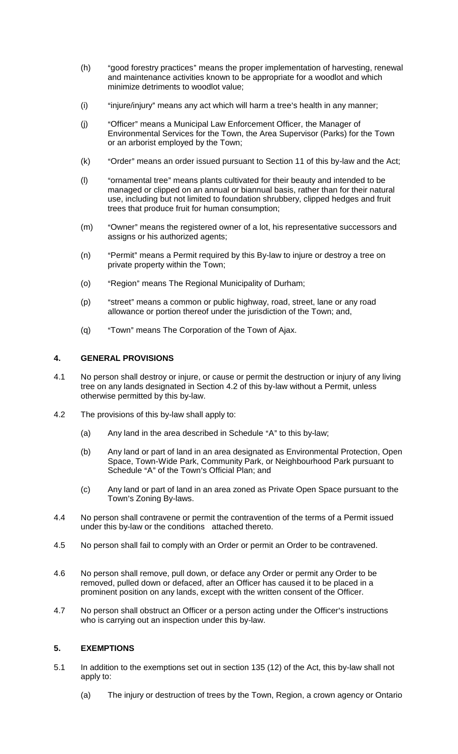- (h) "good forestry practices" means the proper implementation of harvesting, renewal and maintenance activities known to be appropriate for a woodlot and which minimize detriments to woodlot value;
- $(i)$  "injure/injury" means any act which will harm a tree's health in any manner;
- (i) "Officer" means a Municipal Law Enforcement Officer, the Manager of Environmental Services for the Town, the Area Supervisor (Parks) for the Town or an arborist employed by the Town;
- $(k)$  "Order" means an order issued pursuant to Section 11 of this by-law and the Act;
- (I) "ornamental tree" means plants cultivated for their beauty and intended to be managed or clipped on an annual or biannual basis, rather than for their natural use, including but not limited to foundation shrubbery, clipped hedges and fruit trees that produce fruit for human consumption;
- (m) "Owner" means the registered owner of a lot, his representative successors and assigns or his authorized agents;
- (n) "Permit" means a Permit required by this By-law to injure or destroy a tree on private property within the Town;
- (o) "Region" means The Regional Municipality of Durham;
- (p) "street" means a common or public highway, road, street, lane or any road allowance or portion thereof under the jurisdiction of the Town; and,
- (q) "Town" means The Corporation of the Town of Ajax.

### **4. GENERAL PROVISIONS**

- 4.1 No person shall destroy or injure, or cause or permit the destruction or injury of any living tree on any lands designated in Section 4.2 of this by-law without a Permit, unless otherwise permitted by this by-law.
- 4.2 The provisions of this by-law shall apply to:
	- (a) Any land in the area described in Schedule "A" to this by-law;
	- (b) Any land or part of land in an area designated as Environmental Protection, Open Space, Town-Wide Park, Community Park, or Neighbourhood Park pursuant to Schedule "A" of the Town's Official Plan; and
	- (c) Any land or part of land in an area zoned as Private Open Space pursuant to the Town's Zoning By-laws.
- 4.4 No person shall contravene or permit the contravention of the terms of a Permit issued under this by-law or the conditions attached thereto.
- 4.5 No person shall fail to comply with an Order or permit an Order to be contravened.
- 4.6 No person shall remove, pull down, or deface any Order or permit any Order to be removed, pulled down or defaced, after an Officer has caused it to be placed in a prominent position on any lands, except with the written consent of the Officer.
- 4.7 No person shall obstruct an Officer or a person acting under the Officer's instructions who is carrying out an inspection under this by-law.

# **5. EXEMPTIONS**

- 5.1 In addition to the exemptions set out in section 135 (12) of the Act, this by-law shall not apply to:
	- (a) The injury or destruction of trees by the Town, Region, a crown agency or Ontario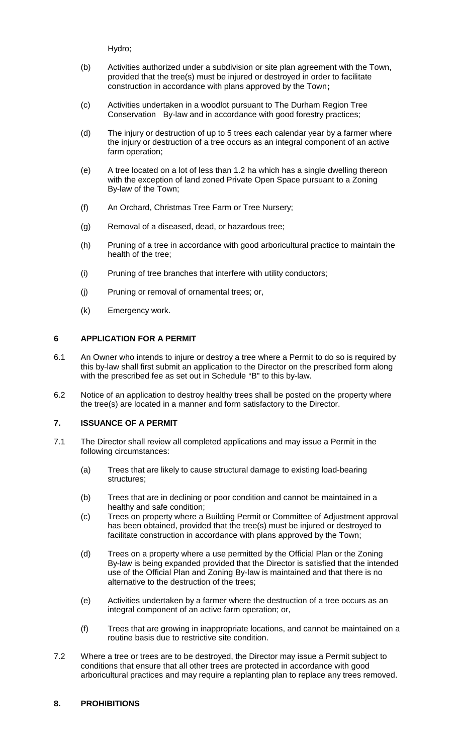Hydro;

- (b) Activities authorized under a subdivision or site plan agreement with the Town, provided that the tree(s) must be injured or destroyed in order to facilitate construction in accordance with plans approved by the Town**;**
- (c) Activities undertaken in a woodlot pursuant to The Durham Region Tree Conservation By-law and in accordance with good forestry practices;
- (d) The injury or destruction of up to 5 trees each calendar year by a farmer where the injury or destruction of a tree occurs as an integral component of an active farm operation;
- (e) A tree located on a lot of less than 1.2 ha which has a single dwelling thereon with the exception of land zoned Private Open Space pursuant to a Zoning By-law of the Town;
- (f) An Orchard, Christmas Tree Farm or Tree Nursery;
- (g) Removal of a diseased, dead, or hazardous tree;
- (h) Pruning of a tree in accordance with good arboricultural practice to maintain the health of the tree;
- (i) Pruning of tree branches that interfere with utility conductors;
- (j) Pruning or removal of ornamental trees; or,
- (k) Emergency work.

# **6 APPLICATION FOR A PERMIT**

- 6.1 An Owner who intends to injure or destroy a tree where a Permit to do so is required by this by-law shall first submit an application to the Director on the prescribed form along with the prescribed fee as set out in Schedule "B" to this by-law.
- 6.2 Notice of an application to destroy healthy trees shall be posted on the property where the tree(s) are located in a manner and form satisfactory to the Director.

# **7. ISSUANCE OF A PERMIT**

- 7.1 The Director shall review all completed applications and may issue a Permit in the following circumstances:
	- (a) Trees that are likely to cause structural damage to existing load-bearing structures;
	- (b) Trees that are in declining or poor condition and cannot be maintained in a healthy and safe condition;
	- (c) Trees on property where a Building Permit or Committee of Adjustment approval has been obtained, provided that the tree(s) must be injured or destroyed to facilitate construction in accordance with plans approved by the Town;
	- (d) Trees on a property where a use permitted by the Official Plan or the Zoning By-law is being expanded provided that the Director is satisfied that the intended use of the Official Plan and Zoning By-law is maintained and that there is no alternative to the destruction of the trees;
	- (e) Activities undertaken by a farmer where the destruction of a tree occurs as an integral component of an active farm operation; or,
	- (f) Trees that are growing in inappropriate locations, and cannot be maintained on a routine basis due to restrictive site condition.
- 7.2 Where a tree or trees are to be destroyed, the Director may issue a Permit subject to conditions that ensure that all other trees are protected in accordance with good arboricultural practices and may require a replanting plan to replace any trees removed.

# **8. PROHIBITIONS**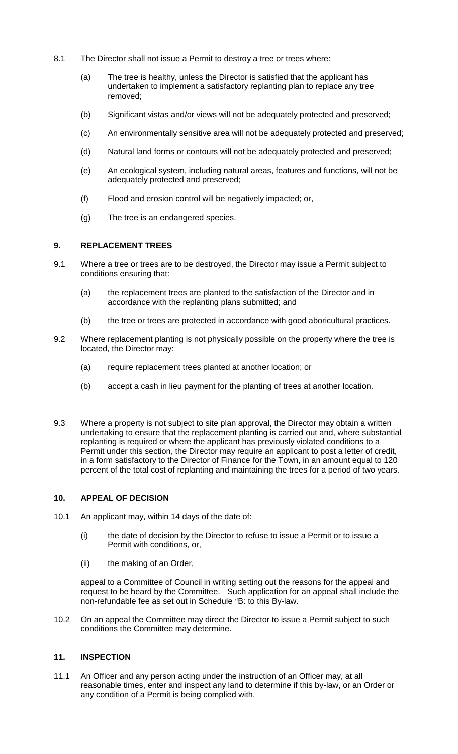- 8.1 The Director shall not issue a Permit to destroy a tree or trees where:
	- (a) The tree is healthy, unless the Director is satisfied that the applicant has undertaken to implement a satisfactory replanting plan to replace any tree removed;
	- (b) Significant vistas and/or views will not be adequately protected and preserved;
	- (c) An environmentally sensitive area will not be adequately protected and preserved;
	- (d) Natural land forms or contours will not be adequately protected and preserved;
	- (e) An ecological system, including natural areas, features and functions, will not be adequately protected and preserved;
	- (f) Flood and erosion control will be negatively impacted; or,
	- (g) The tree is an endangered species.

#### **9. REPLACEMENT TREES**

- 9.1 Where a tree or trees are to be destroyed, the Director may issue a Permit subject to conditions ensuring that:
	- (a) the replacement trees are planted to the satisfaction of the Director and in accordance with the replanting plans submitted; and
	- (b) the tree or trees are protected in accordance with good aboricultural practices.
- 9.2 Where replacement planting is not physically possible on the property where the tree is located, the Director may:
	- (a) require replacement trees planted at another location; or
	- (b) accept a cash in lieu payment for the planting of trees at another location.
- 9.3 Where a property is not subject to site plan approval, the Director may obtain a written undertaking to ensure that the replacement planting is carried out and, where substantial replanting is required or where the applicant has previously violated conditions to a Permit under this section, the Director may require an applicant to post a letter of credit, in a form satisfactory to the Director of Finance for the Town, in an amount equal to 120 percent of the total cost of replanting and maintaining the trees for a period of two years.

#### **10. APPEAL OF DECISION**

- 10.1 An applicant may, within 14 days of the date of:
	- (i) the date of decision by the Director to refuse to issue a Permit or to issue a Permit with conditions, or,
	- (ii) the making of an Order,

appeal to a Committee of Council in writing setting out the reasons for the appeal and request to be heard by the Committee. Such application for an appeal shall include the non-refundable fee as set out in Schedule "B: to this By-law.

10.2 On an appeal the Committee may direct the Director to issue a Permit subject to such conditions the Committee may determine.

### **11. INSPECTION**

11.1 An Officer and any person acting under the instruction of an Officer may, at all reasonable times, enter and inspect any land to determine if this by-law, or an Order or any condition of a Permit is being complied with.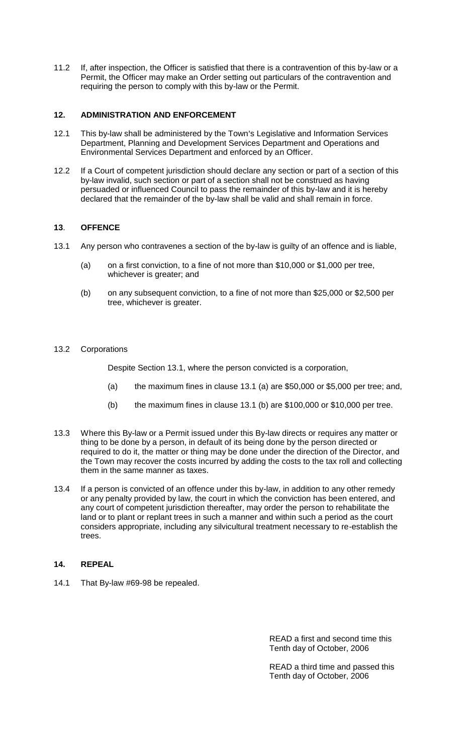11.2 If, after inspection, the Officer is satisfied that there is a contravention of this by-law or a Permit, the Officer may make an Order setting out particulars of the contravention and requiring the person to comply with this by-law or the Permit.

### **12. ADMINISTRATION AND ENFORCEMENT**

- 12.1 This by-law shall be administered by the Town's Legislative and Information Services Department, Planning and Development Services Department and Operations and Environmental Services Department and enforced by an Officer.
- 12.2 If a Court of competent jurisdiction should declare any section or part of a section of this by-law invalid, such section or part of a section shall not be construed as having persuaded or influenced Council to pass the remainder of this by-law and it is hereby declared that the remainder of the by-law shall be valid and shall remain in force.

# **13**. **OFFENCE**

- 13.1 Any person who contravenes a section of the by-law is guilty of an offence and is liable,
	- (a) on a first conviction, to a fine of not more than \$10,000 or \$1,000 per tree, whichever is greater; and
	- (b) on any subsequent conviction, to a fine of not more than \$25,000 or \$2,500 per tree, whichever is greater.

### 13.2 Corporations

Despite Section 13.1, where the person convicted is a corporation,

- (a) the maximum fines in clause 13.1 (a) are \$50,000 or \$5,000 per tree; and,
- (b) the maximum fines in clause 13.1 (b) are  $$100,000$  or  $$10,000$  per tree.
- 13.3 Where this By-law or a Permit issued under this By-law directs or requires any matter or thing to be done by a person, in default of its being done by the person directed or required to do it, the matter or thing may be done under the direction of the Director, and the Town may recover the costs incurred by adding the costs to the tax roll and collecting them in the same manner as taxes.
- 13.4 If a person is convicted of an offence under this by-law, in addition to any other remedy or any penalty provided by law, the court in which the conviction has been entered, and any court of competent jurisdiction thereafter, may order the person to rehabilitate the land or to plant or replant trees in such a manner and within such a period as the court considers appropriate, including any silvicultural treatment necessary to re-establish the trees.

# **14. REPEAL**

14.1 That By-law #69-98 be repealed.

READ a first and second time this Tenth day of October, 2006

READ a third time and passed this Tenth day of October, 2006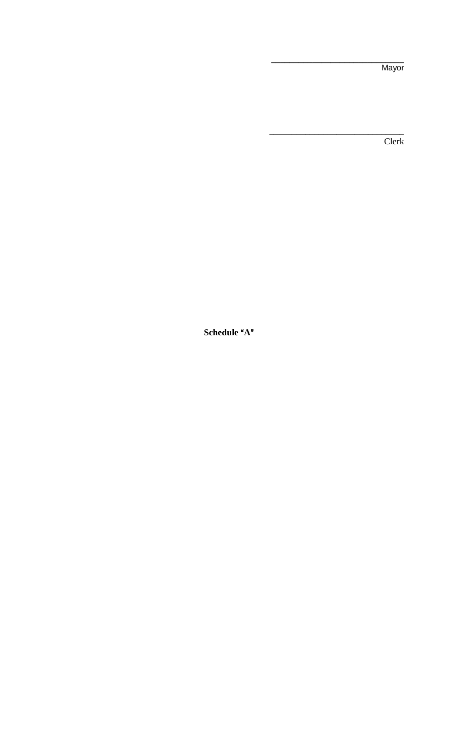Mayor

 $\overline{\text{Clerk}}$ 

Schedule "A"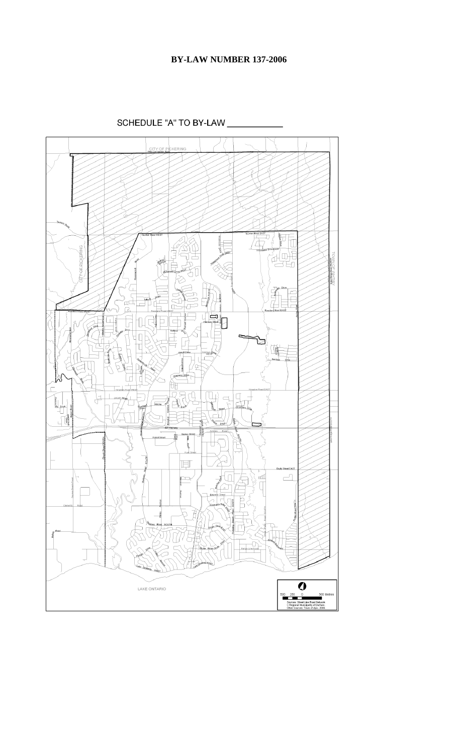SCHEDULE "A" TO BY-LAW \_

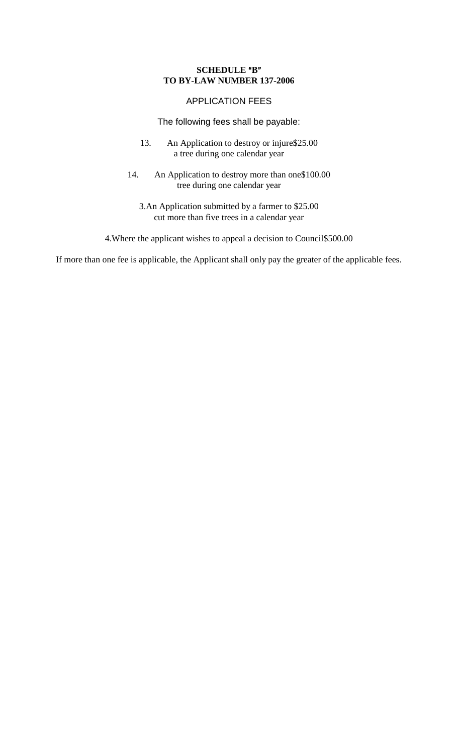# **SCHEDULE** "B" **TO BY-LAW NUMBER 137-2006**

# APPLICATION FEES

The following fees shall be payable:

- 13. An Application to destroy or injure\$25.00 a tree during one calendar year
- 14. An Application to destroy more than one\$100.00 tree during one calendar year
	- 3.An Application submitted by a farmer to \$25.00 cut more than five trees in a calendar year

4.Where the applicant wishes to appeal a decision to Council\$500.00

If more than one fee is applicable, the Applicant shall only pay the greater of the applicable fees.